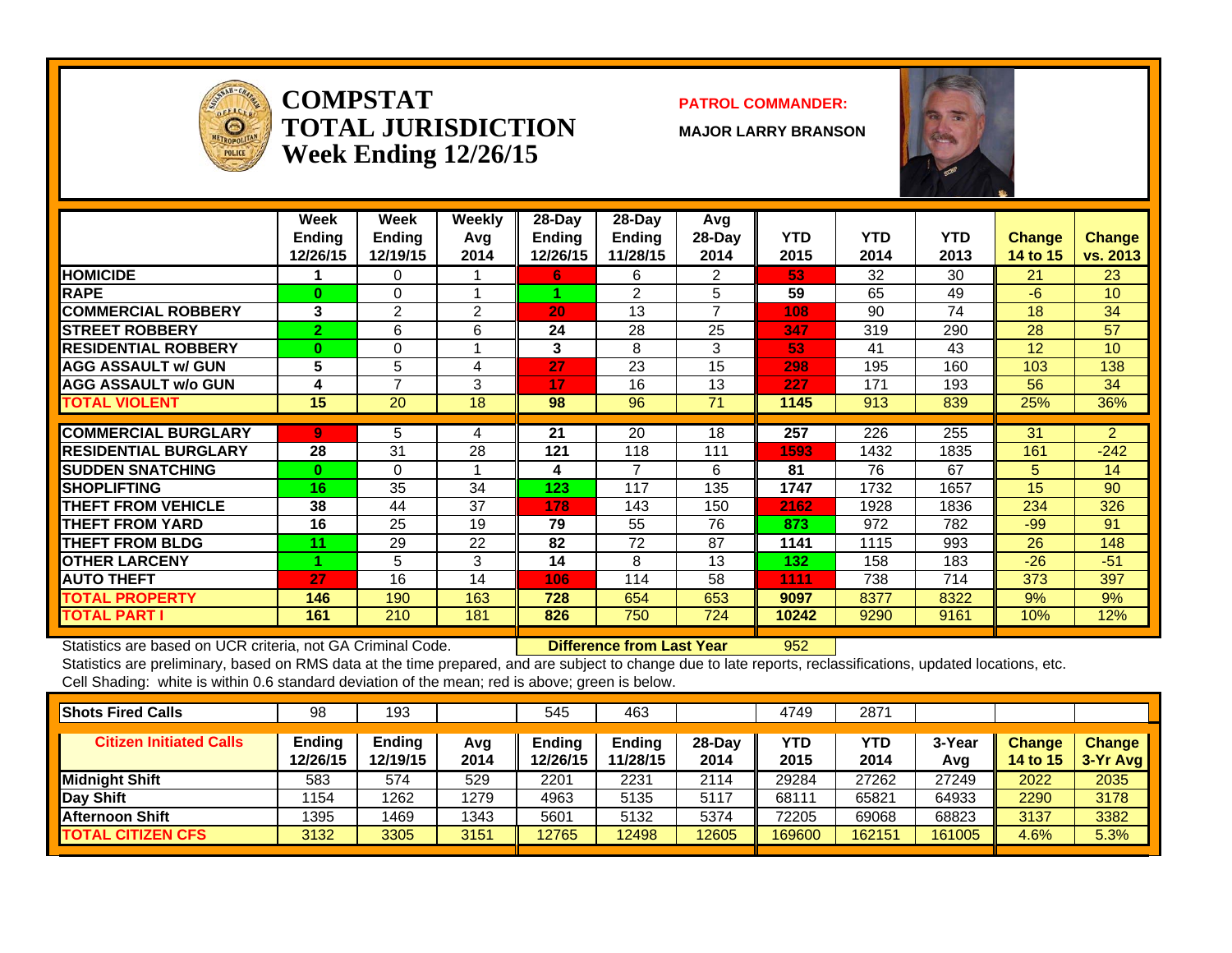

### **COMPSTATTOTAL JURISDICTIONWeek Ending 12/26/15**

### **PATROL COMMANDER:**

**MAJOR LARRY BRANSON**



|                             | Week<br><b>Ending</b><br>12/26/15 | Week<br><b>Ending</b><br>12/19/15 | <b>Weekly</b><br>Avg<br>2014 | 28-Day<br><b>Ending</b><br>12/26/15 | $28$ -Day<br><b>Ending</b><br>11/28/15 | Avg<br>$28-Day$<br>2014 | <b>YTD</b><br>2015 | <b>YTD</b><br>2014 | <b>YTD</b><br>2013 | <b>Change</b><br>14 to 15 | <b>Change</b><br>vs. 2013 |
|-----------------------------|-----------------------------------|-----------------------------------|------------------------------|-------------------------------------|----------------------------------------|-------------------------|--------------------|--------------------|--------------------|---------------------------|---------------------------|
| <b>HOMICIDE</b>             |                                   | $\Omega$                          |                              | 6.                                  | 6                                      | 2                       | 53                 | 32                 | 30                 | 21                        | 23                        |
| <b>RAPE</b>                 | $\bf{0}$                          | $\Omega$                          |                              |                                     | $\mathfrak{p}$                         | 5                       | 59                 | 65                 | 49                 | $-6$                      | 10 <sup>1</sup>           |
| <b>COMMERCIAL ROBBERY</b>   | 3                                 | 2                                 | 2                            | 20                                  | 13                                     | $\overline{ }$          | 108                | 90                 | 74                 | 18                        | 34                        |
| <b>STREET ROBBERY</b>       | $\overline{2}$                    | 6                                 | 6                            | 24                                  | 28                                     | 25                      | 347                | 319                | 290                | 28                        | 57                        |
| <b>RESIDENTIAL ROBBERY</b>  | $\Omega$                          | $\Omega$                          |                              | 3                                   | 8                                      | 3                       | 53                 | 41                 | 43                 | 12                        | 10 <sup>1</sup>           |
| <b>AGG ASSAULT W/ GUN</b>   | 5                                 | 5                                 | 4                            | 27                                  | 23                                     | 15                      | 298                | 195                | 160                | 103                       | 138                       |
| <b>AGG ASSAULT w/o GUN</b>  | 4                                 | $\overline{ }$                    | 3                            | 17                                  | 16                                     | 13                      | 227                | 171                | 193                | 56                        | 34                        |
| TOTAL VIOLENT               | 15                                | 20                                | 18                           | 98                                  | 96                                     | 71                      | 1145               | 913                | 839                | 25%                       | 36%                       |
|                             |                                   |                                   |                              |                                     |                                        |                         |                    |                    |                    |                           |                           |
| <b>COMMERCIAL BURGLARY</b>  | $\overline{9}$                    | 5                                 | 4                            | 21                                  | 20                                     | 18                      | 257                | 226                | 255                | 31                        | $\overline{2}$            |
| <b>RESIDENTIAL BURGLARY</b> | 28                                | 31                                | 28                           | 121                                 | 118                                    | 111                     | 1593               | 1432               | 1835               | 161                       | $-242$                    |
| <b>SUDDEN SNATCHING</b>     | $\bf{0}$                          | $\Omega$                          |                              | 4                                   | $\overline{7}$                         | 6                       | 81                 | 76                 | 67                 | 5.                        | 14                        |
| <b>SHOPLIFTING</b>          | 16                                | 35                                | 34                           | 123                                 | 117                                    | 135                     | 1747               | 1732               | 1657               | 15                        | 90                        |
| <b>THEFT FROM VEHICLE</b>   | 38                                | 44                                | 37                           | 178                                 | 143                                    | 150                     | 2162               | 1928               | 1836               | 234                       | 326                       |
| <b>THEFT FROM YARD</b>      | 16                                | 25                                | 19                           | 79                                  | 55                                     | 76                      | 873                | 972                | 782                | $-99$                     | 91                        |
| <b>THEFT FROM BLDG</b>      | 11                                | 29                                | 22                           | 82                                  | 72                                     | 87                      | 1141               | 1115               | 993                | 26                        | 148                       |
| <b>OTHER LARCENY</b>        |                                   | 5                                 | 3                            | 14                                  | 8                                      | 13                      | 132                | 158                | 183                | $-26$                     | $-51$                     |
| <b>AUTO THEFT</b>           | 27                                | 16                                | 14                           | 106                                 | 114                                    | 58                      | 1111               | 738                | 714                | 373                       | 397                       |
| <b>TOTAL PROPERTY</b>       | 146                               | 190                               | 163                          | 728                                 | 654                                    | 653                     | 9097               | 8377               | 8322               | 9%                        | 9%                        |
| <b>TOTAL PART I</b>         | 161                               | 210                               | 181                          | 826                                 | 750                                    | 724                     | 10242              | 9290               | 9161               | 10%                       | 12%                       |

Statistics are based on UCR criteria, not GA Criminal Code. **Difference from Last Year** 952

| <b>Shots Fired Calls</b>       | 98                 | 193                       |             | 545                | 463                       |                | 4749        | 2871        |               |                           |                             |
|--------------------------------|--------------------|---------------------------|-------------|--------------------|---------------------------|----------------|-------------|-------------|---------------|---------------------------|-----------------------------|
| <b>Citizen Initiated Calls</b> | Ending<br>12/26/15 | <b>Ending</b><br>12/19/15 | Avg<br>2014 | Endina<br>12/26/15 | <b>Ending</b><br>11/28/15 | 28-Day<br>2014 | YTD<br>2015 | YTD<br>2014 | 3-Year<br>Avg | <b>Change</b><br>14 to 15 | <b>Change</b><br>$3-Yr$ Avg |
| Midnight Shift                 | 583                | 574                       | 529         | 2201               | 2231                      | 2114           | 29284       | 27262       | 27249         | 2022                      | 2035                        |
| Day Shift                      | 1154               | 1262                      | 1279        | 4963               | 5135                      | 5117           | 68111       | 65821       | 64933         | 2290                      | 3178                        |
| <b>Afternoon Shift</b>         | 1395               | 1469                      | 1343        | 5601               | 5132                      | 5374           | 72205       | 69068       | 68823         | 3137                      | 3382                        |
| <b>TOTAL CITIZEN CFS</b>       | 3132               | 3305                      | 3151        | 12765              | 2498                      | 12605          | 169600      | 162151      | 161005        | 4.6%                      | 5.3%                        |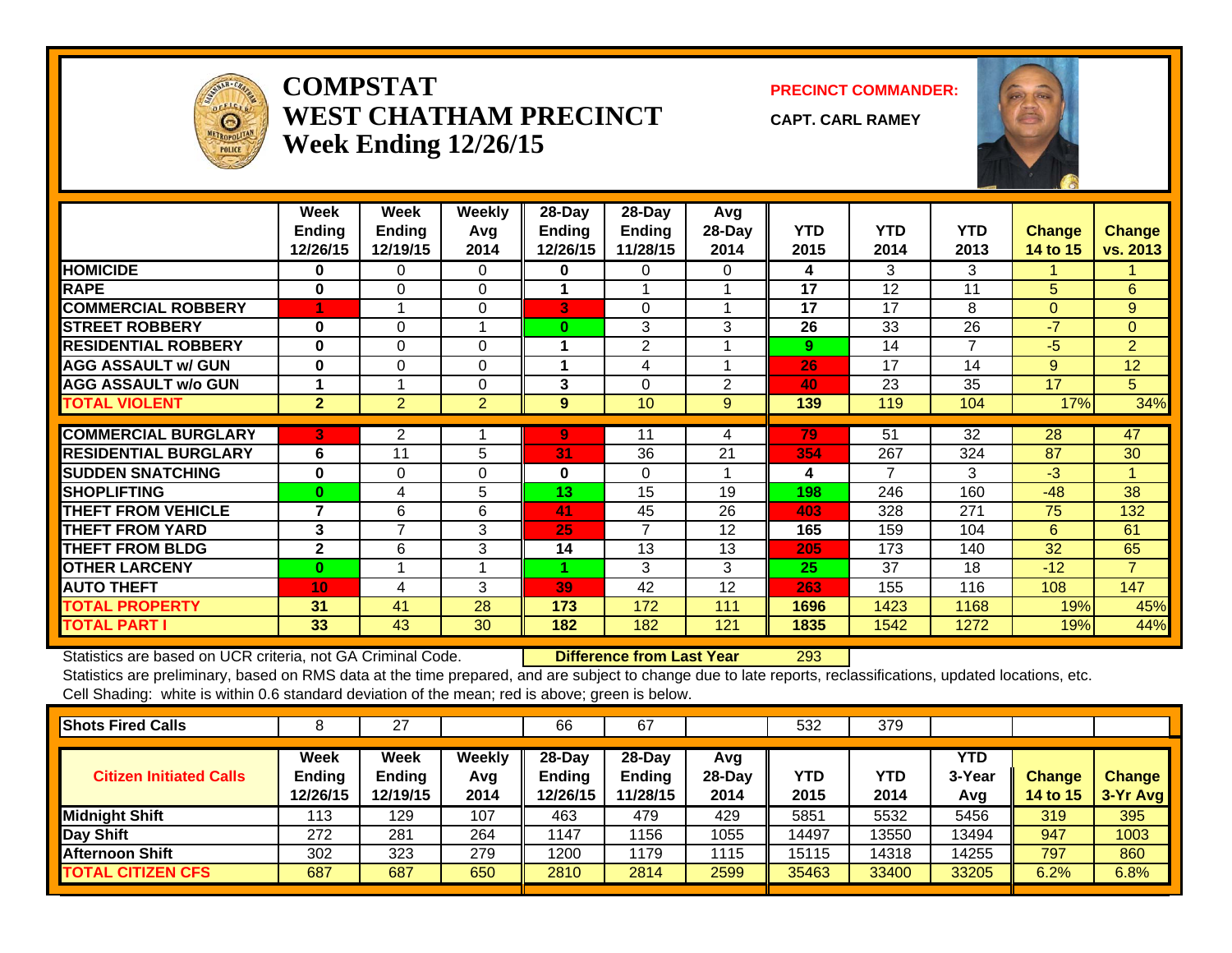

## **COMPSTATWEST CHATHAM PRECINCTWeek Ending 12/26/15**

**PRECINCT COMMANDER:**

**CAPT. CARL RAMEY**



|                             | Week<br><b>Ending</b><br>12/26/15 | Week<br><b>Ending</b><br>12/19/15 | <b>Weekly</b><br>Avq<br>2014 | 28-Day<br><b>Ending</b><br>12/26/15 | 28-Day<br><b>Ending</b><br>11/28/15 | Avg<br>$28-Dav$<br>2014 | <b>YTD</b><br>2015 | <b>YTD</b><br>2014 | <b>YTD</b><br>2013 | <b>Change</b><br>14 to 15 | <b>Change</b><br>vs. 2013 |
|-----------------------------|-----------------------------------|-----------------------------------|------------------------------|-------------------------------------|-------------------------------------|-------------------------|--------------------|--------------------|--------------------|---------------------------|---------------------------|
| <b>HOMICIDE</b>             | 0                                 | $\Omega$                          | $\Omega$                     | 0                                   | 0                                   | 0                       | 4                  | 3                  | 3                  |                           |                           |
| <b>RAPE</b>                 | $\bf{0}$                          | $\Omega$                          | $\Omega$                     |                                     |                                     |                         | 17                 | 12                 | 11                 | 5                         | 6                         |
| <b>COMMERCIAL ROBBERY</b>   | 4                                 |                                   | $\Omega$                     | 3                                   | $\Omega$                            |                         | 17                 | 17                 | 8                  | $\Omega$                  | 9                         |
| <b>STREET ROBBERY</b>       | $\bf{0}$                          | $\Omega$                          |                              | $\bf{0}$                            | 3                                   | 3                       | 26                 | 33                 | 26                 | $-7$                      | $\Omega$                  |
| <b>RESIDENTIAL ROBBERY</b>  | $\bf{0}$                          | $\Omega$                          | $\Omega$                     | 1                                   | 2                                   |                         | 9                  | 14                 | 7                  | -5                        | $\overline{2}$            |
| <b>AGG ASSAULT w/ GUN</b>   | $\bf{0}$                          | 0                                 | $\mathbf 0$                  |                                     | 4                                   |                         | 26                 | 17                 | 14                 | 9                         | 12                        |
| <b>AGG ASSAULT w/o GUN</b>  |                                   |                                   | $\Omega$                     | 3                                   | $\Omega$                            | $\overline{2}$          | 40                 | 23                 | 35                 | 17                        | 5 <sup>5</sup>            |
| <b>TOTAL VIOLENT</b>        | $\overline{2}$                    | $\overline{2}$                    | $\overline{2}$               | 9                                   | 10                                  | 9                       | 139                | 119                | 104                | 17%                       | 34%                       |
|                             |                                   |                                   |                              |                                     |                                     |                         |                    |                    |                    |                           |                           |
| <b>COMMERCIAL BURGLARY</b>  | D.                                | $\overline{2}$                    |                              | 9                                   | 11                                  | 4                       | 79                 | 51                 | 32                 | 28                        | 47                        |
| <b>RESIDENTIAL BURGLARY</b> | 6                                 | 11                                | 5                            | 31                                  | 36                                  | 21                      | 354                | 267                | 324                | 87                        | 30                        |
| <b>SUDDEN SNATCHING</b>     | $\bf{0}$                          | 0                                 | $\Omega$                     | $\bf{0}$                            | $\Omega$                            |                         | 4                  | 7                  | 3                  | $-3$                      | $\blacktriangleleft$      |
| <b>SHOPLIFTING</b>          | $\bf{0}$                          | 4                                 | 5.                           | 13                                  | 15                                  | 19                      | 198                | 246                | 160                | $-48$                     | 38                        |
| <b>THEFT FROM VEHICLE</b>   | 7                                 | 6                                 | 6                            | 41                                  | 45                                  | 26                      | 403                | 328                | 271                | 75                        | 132                       |
| <b>THEFT FROM YARD</b>      | 3                                 | 7                                 | 3                            | 25                                  | 7                                   | 12                      | 165                | 159                | 104                | 6                         | 61                        |
| <b>THEFT FROM BLDG</b>      | $\overline{2}$                    | 6                                 | 3                            | 14                                  | 13                                  | 13                      | 205                | 173                | 140                | 32                        | 65                        |
| <b>OTHER LARCENY</b>        | $\mathbf{0}$                      |                                   |                              |                                     | 3                                   | 3                       | 25                 | 37                 | 18                 | $-12$                     | $\overline{7}$            |
| <b>AUTO THEFT</b>           | 10                                | 4                                 | 3                            | 39                                  | 42                                  | 12                      | 263                | 155                | 116                | 108                       | 147                       |
| <b>TOTAL PROPERTY</b>       | 31                                | 41                                | 28                           | 173                                 | 172                                 | 111                     | 1696               | 1423               | 1168               | 19%                       | 45%                       |
| <b>TOTAL PART I</b>         | 33                                | 43                                | 30                           | 182                                 | 182                                 | 121                     | 1835               | 1542               | 1272               | 19%                       | 44%                       |

Statistics are based on UCR criteria, not GA Criminal Code. **Difference from Last Year** 293

| <b>Shots Fired Calls</b>       |                                   | 27                                |                       | 66                             | 67                                     |                         | 532                | 379         |                      |                           |                             |
|--------------------------------|-----------------------------------|-----------------------------------|-----------------------|--------------------------------|----------------------------------------|-------------------------|--------------------|-------------|----------------------|---------------------------|-----------------------------|
| <b>Citizen Initiated Calls</b> | Week<br><b>Ending</b><br>12/26/15 | <b>Week</b><br>Ending<br>12/19/15 | Weekly<br>Avg<br>2014 | $28-Day$<br>Ending<br>12/26/15 | $28$ -Day<br><b>Ending</b><br>11/28/15 | Avg<br>$28-Day$<br>2014 | <b>YTD</b><br>2015 | YTD<br>2014 | YTD<br>3-Year<br>Avg | <b>Change</b><br>14 to 15 | <b>Change</b><br>$3-Yr$ Avg |
| <b>Midnight Shift</b>          | 113                               | 129                               | 107                   | 463                            | 479                                    | 429                     | 5851               | 5532        | 5456                 | 319                       | 395                         |
| <b>Day Shift</b>               | 272                               | 281                               | 264                   | 1147                           | 1156                                   | 1055                    | 14497              | 13550       | 13494                | 947                       | 1003                        |
| <b>Afternoon Shift</b>         | 302                               | 323                               | 279                   | 1200                           | 1179                                   | 1115                    | 15115              | 14318       | 14255                | 797                       | 860                         |
| <b>TOTAL CITIZEN CFS</b>       | 687                               | 687                               | 650                   | 2810                           | 2814                                   | 2599                    | 35463              | 33400       | 33205                | 6.2%                      | 6.8%                        |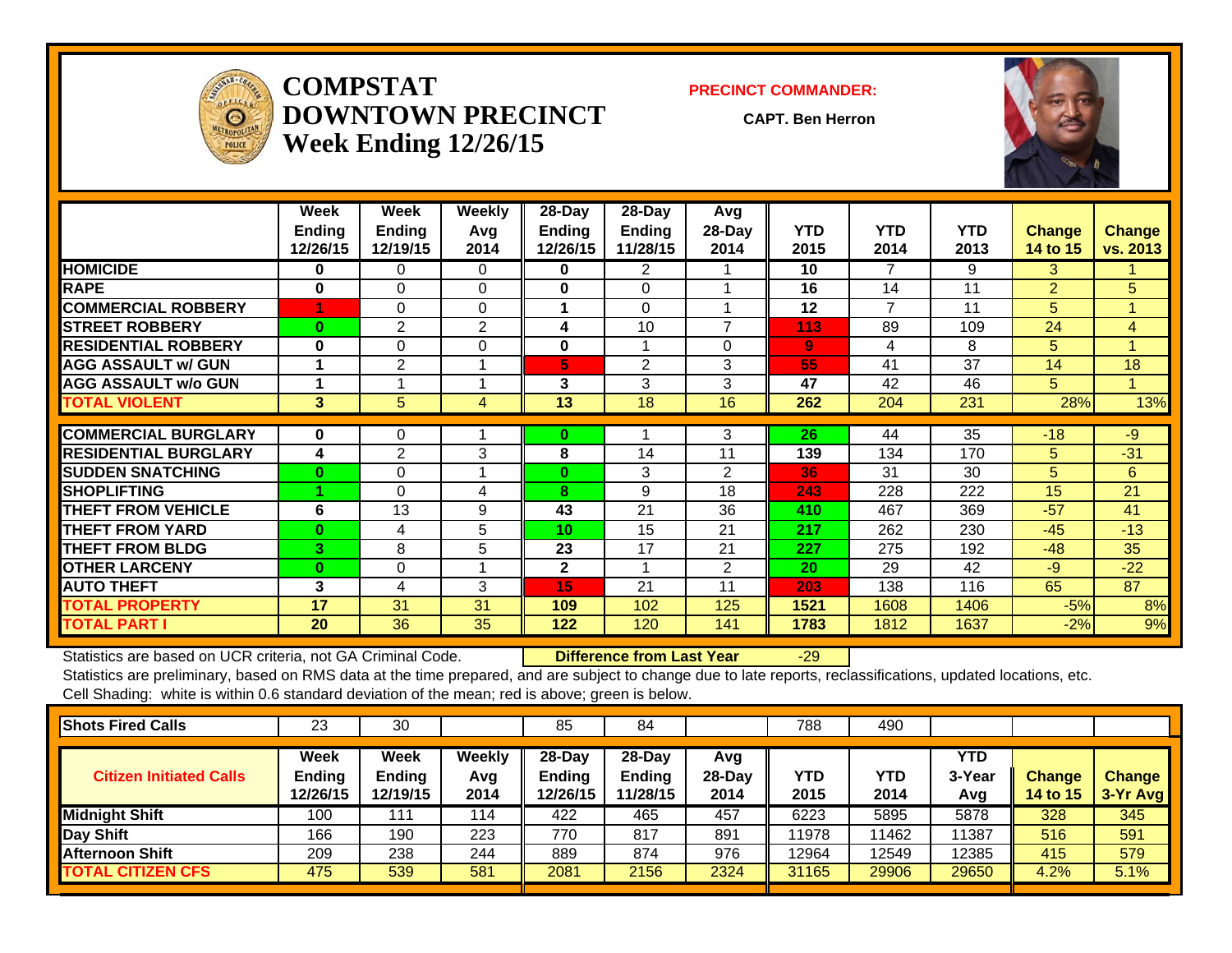

**COMPSTATDOWNTOWN PRECINCTWeek Ending 12/26/15**

#### **PRECINCT COMMANDER:**

**CAPT. Ben Herron**



|                             | Week<br><b>Ending</b><br>12/26/15 | Week<br><b>Ending</b><br>12/19/15 | Weekly<br>Avq<br>2014 | 28-Day<br><b>Ending</b><br>12/26/15 | 28-Day<br><b>Ending</b><br>11/28/15 | Avg<br>28-Day<br>2014    | <b>YTD</b><br>2015 | <b>YTD</b><br>2014 | <b>YTD</b><br>2013 | <b>Change</b><br>14 to 15 | <b>Change</b><br>vs. 2013 |
|-----------------------------|-----------------------------------|-----------------------------------|-----------------------|-------------------------------------|-------------------------------------|--------------------------|--------------------|--------------------|--------------------|---------------------------|---------------------------|
| <b>HOMICIDE</b>             | 0                                 | $\Omega$                          | $\Omega$              | $\bf{0}$                            | $\overline{2}$                      |                          | 10                 | 7                  | 9                  | 3                         |                           |
| <b>RAPE</b>                 | 0                                 | $\Omega$                          | $\Omega$              | $\bf{0}$                            | $\Omega$                            |                          | 16                 | 14                 | 11                 | $\overline{2}$            | 5                         |
| <b>COMMERCIAL ROBBERY</b>   |                                   | $\Omega$                          | $\Omega$              | 1                                   | $\Omega$                            |                          | 12                 | 7                  | 11                 | 5                         | 1                         |
| <b>STREET ROBBERY</b>       | $\bf{0}$                          | $\overline{2}$                    | $\overline{2}$        | 4                                   | 10                                  | $\overline{\phantom{a}}$ | 113                | 89                 | 109                | 24                        | 4                         |
| <b>RESIDENTIAL ROBBERY</b>  | $\bf{0}$                          | $\Omega$                          | $\Omega$              | $\bf{0}$                            |                                     | 0                        | $\overline{9}$     | 4                  | 8                  | 5                         |                           |
| <b>AGG ASSAULT w/ GUN</b>   |                                   | 2                                 |                       | 5                                   | $\overline{2}$                      | 3                        | 55                 | 41                 | 37                 | 14                        | 18                        |
| <b>AGG ASSAULT w/o GUN</b>  |                                   |                                   |                       | 3                                   | 3                                   | 3                        | 47                 | 42                 | 46                 | 5                         |                           |
| <b>TOTAL VIOLENT</b>        | 3                                 | 5                                 | 4                     | 13                                  | 18                                  | 16                       | 262                | 204                | 231                | 28%                       | 13%                       |
|                             |                                   |                                   |                       |                                     |                                     |                          |                    |                    |                    |                           |                           |
| <b>COMMERCIAL BURGLARY</b>  | 0                                 | 0                                 |                       | $\bf{0}$                            |                                     | 3                        | 26                 | 44                 | 35                 | $-18$                     | $-9$                      |
| <b>RESIDENTIAL BURGLARY</b> | 4                                 | $\overline{2}$                    | 3                     | 8                                   | 14                                  | 11                       | 139                | 134                | 170                | 5                         | $-31$                     |
| <b>SUDDEN SNATCHING</b>     | $\bf{0}$                          | $\Omega$                          |                       | $\bf{0}$                            | 3                                   | $\overline{2}$           | 36                 | 31                 | 30                 | 5                         | 6                         |
| <b>SHOPLIFTING</b>          |                                   | $\Omega$                          | 4                     | 8                                   | 9                                   | 18                       | 243                | 228                | 222                | 15                        | 21                        |
| <b>THEFT FROM VEHICLE</b>   | 6                                 | 13                                | 9                     | 43                                  | 21                                  | 36                       | 410                | 467                | 369                | $-57$                     | 41                        |
| <b>THEFT FROM YARD</b>      | $\bf{0}$                          | 4                                 | 5                     | 10 <sup>1</sup>                     | 15                                  | 21                       | 217                | 262                | 230                | $-45$                     | $-13$                     |
| <b>THEFT FROM BLDG</b>      | 3.                                | 8                                 | 5                     | 23                                  | 17                                  | 21                       | 227                | 275                | 192                | $-48$                     | 35                        |
| <b>OTHER LARCENY</b>        | $\mathbf{0}$                      | 0                                 |                       | $\mathbf{2}$                        |                                     | 2                        | 20                 | 29                 | 42                 | $-9$                      | $-22$                     |
| <b>AUTO THEFT</b>           | 3                                 | 4                                 | 3                     | 15                                  | 21                                  | 11                       | 203                | 138                | 116                | 65                        | 87                        |
| <b>TOTAL PROPERTY</b>       | 17                                | 31                                | 31                    | 109                                 | 102                                 | 125                      | 1521               | 1608               | 1406               | $-5%$                     | 8%                        |
| <b>TOTAL PART I</b>         | 20                                | 36                                | 35                    | 122                                 | 120                                 | 141                      | 1783               | 1812               | 1637               | $-2%$                     | 9%                        |

Statistics are based on UCR criteria, not GA Criminal Code. **Difference from Last Year** -29

| <b>Shots Fired Calls</b>       | 23                                       | 30                                |                              | 85                                  | 84                                  |                         | 788         | 490         |                      |                                  |                             |
|--------------------------------|------------------------------------------|-----------------------------------|------------------------------|-------------------------------------|-------------------------------------|-------------------------|-------------|-------------|----------------------|----------------------------------|-----------------------------|
| <b>Citizen Initiated Calls</b> | <b>Week</b><br><b>Ending</b><br>12/26/15 | <b>Week</b><br>Ending<br>12/19/15 | <b>Weekly</b><br>Avg<br>2014 | 28-Day<br><b>Ending</b><br>12/26/15 | 28-Day<br><b>Ending</b><br>11/28/15 | Avg<br>$28-Day$<br>2014 | YTD<br>2015 | YTD<br>2014 | YTD<br>3-Year<br>Avg | <b>Change</b><br><b>14 to 15</b> | <b>Change</b><br>$3-Yr$ Avg |
| Midnight Shift                 | 100                                      | 111                               | 114                          | 422                                 | 465                                 | 457                     | 6223        | 5895        | 5878                 | 328                              | 345                         |
| Day Shift                      | 166                                      | 190                               | 223                          | 770                                 | 817                                 | 891                     | 11978       | 1462        | 11387                | 516                              | 591                         |
| <b>Afternoon Shift</b>         | 209                                      | 238                               | 244                          | 889                                 | 874                                 | 976                     | 12964       | 12549       | 12385                | 415                              | 579                         |
| <b>TOTAL CITIZEN CFS</b>       | 475                                      | 539                               | 581                          | 2081                                | 2156                                | 2324                    | 31165       | 29906       | 29650                | 4.2%                             | 5.1%                        |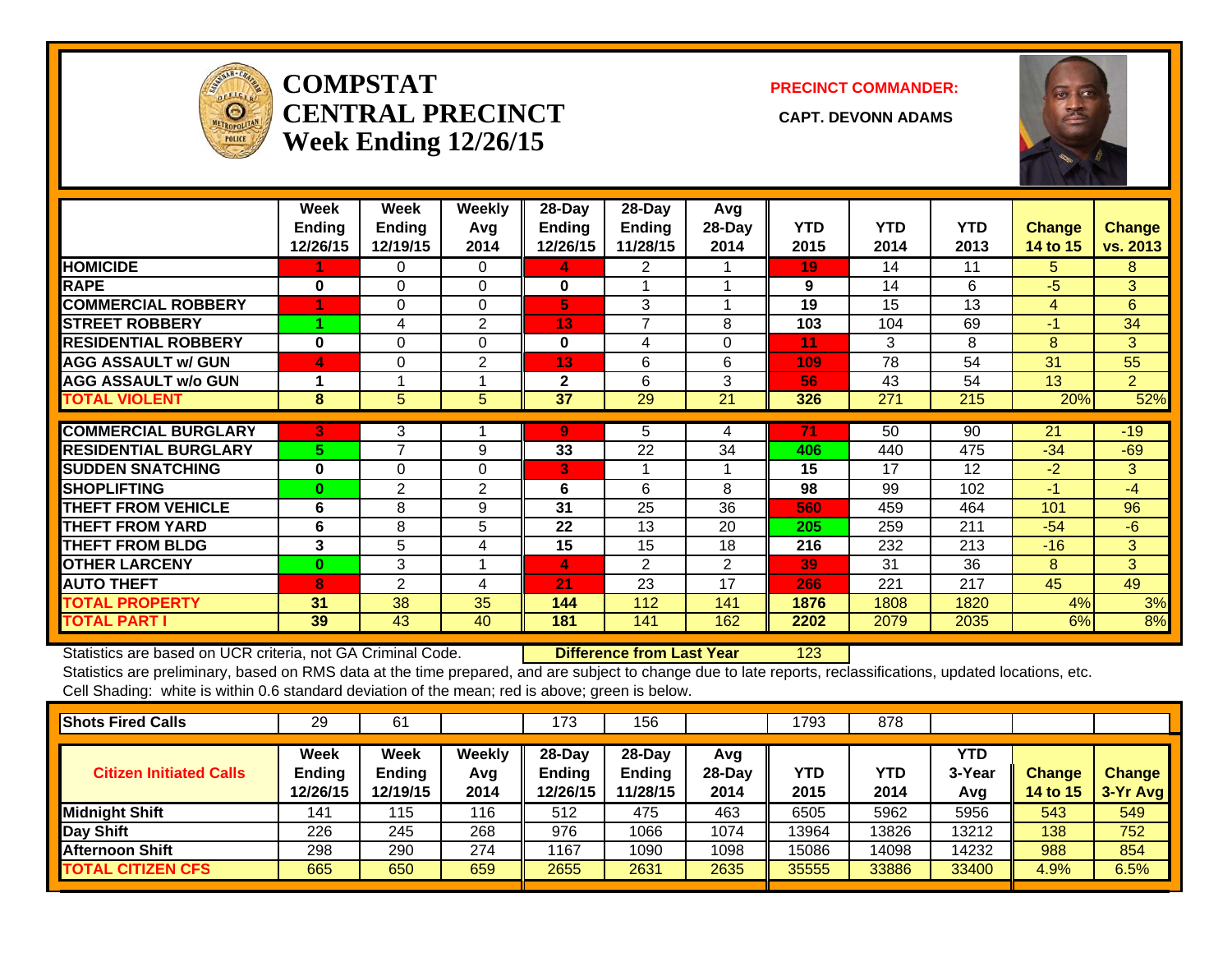

## **COMPSTATCENTRAL PRECINCT** CAPT. DEVONN ADAMS **Week Ending 12/26/15**

### **PRECINCT COMMANDER:**



|                             | Week<br><b>Ending</b><br>12/26/15 | Week<br><b>Ending</b><br>12/19/15 | Weekly<br>Avg<br>2014 | 28-Day<br>Ending<br>12/26/15 | 28-Day<br>Ending<br>11/28/15 | Avg<br>28-Day<br>2014 | <b>YTD</b><br>2015 | <b>YTD</b><br>2014 | <b>YTD</b><br>2013 | <b>Change</b><br>14 to 15 | <b>Change</b><br>vs. 2013 |
|-----------------------------|-----------------------------------|-----------------------------------|-----------------------|------------------------------|------------------------------|-----------------------|--------------------|--------------------|--------------------|---------------------------|---------------------------|
| <b>HOMICIDE</b>             |                                   | 0                                 | $\Omega$              | 4                            | 2                            |                       | 19                 | 14                 | 11                 | 5.                        | 8                         |
| <b>RAPE</b>                 | $\bf{0}$                          | $\Omega$                          | $\Omega$              | 0                            |                              |                       | 9                  | 14                 | 6                  | $-5$                      | 3                         |
| <b>COMMERCIAL ROBBERY</b>   |                                   | 0                                 | $\Omega$              | 5                            | 3                            |                       | 19                 | 15                 | 13                 | 4                         | 6                         |
| <b>STREET ROBBERY</b>       |                                   | 4                                 | 2                     | 13                           | $\overline{7}$               | 8                     | 103                | 104                | 69                 | $-1$                      | 34                        |
| <b>RESIDENTIAL ROBBERY</b>  | $\bf{0}$                          | $\Omega$                          | $\Omega$              | $\bf{0}$                     | 4                            | 0                     | 11                 | 3                  | 8                  | 8                         | 3                         |
| <b>AGG ASSAULT w/ GUN</b>   | 4                                 | $\Omega$                          | $\overline{2}$        | 13                           | 6                            | 6                     | 109                | 78                 | 54                 | 31                        | 55                        |
| <b>AGG ASSAULT w/o GUN</b>  |                                   |                                   |                       | $\mathbf{2}$                 | 6                            | 3                     | 56                 | 43                 | 54                 | 13                        | $\overline{2}$            |
| <b>TOTAL VIOLENT</b>        | 8                                 | 5                                 | 5                     | 37                           | 29                           | 21                    | 326                | 271                | 215                | 20%                       | 52%                       |
|                             |                                   |                                   |                       |                              |                              |                       |                    |                    |                    |                           |                           |
| <b>COMMERCIAL BURGLARY</b>  | 3                                 | 3                                 |                       | 9                            | 5                            | 4                     | 71                 | 50                 | 90                 | 21                        | $-19$                     |
| <b>RESIDENTIAL BURGLARY</b> | 5.                                | $\overline{ }$                    | 9                     | 33                           | 22                           | 34                    | 406                | 440                | 475                | $-34$                     | $-69$                     |
| <b>SUDDEN SNATCHING</b>     | 0                                 | 0                                 | $\Omega$              | 3                            | 1                            |                       | 15                 | 17                 | 12                 | $-2$                      | 3                         |
| <b>SHOPLIFTING</b>          | $\bf{0}$                          | 2                                 | 2                     | 6                            | 6                            | 8                     | 98                 | 99                 | 102                | $-1$                      | $-4$                      |
| <b>THEFT FROM VEHICLE</b>   | 6                                 | 8                                 | 9                     | 31                           | 25                           | 36                    | 560                | 459                | 464                | 101                       | 96                        |
| <b>THEFT FROM YARD</b>      | 6                                 | 8                                 | 5                     | 22                           | 13                           | 20                    | 205                | 259                | 211                | $-54$                     | $-6$                      |
| <b>THEFT FROM BLDG</b>      | 3                                 | 5                                 | 4                     | 15                           | 15                           | 18                    | 216                | 232                | 213                | $-16$                     | 3                         |
| <b>OTHER LARCENY</b>        | 0                                 | 3                                 |                       | 4                            | $\overline{2}$               | $\overline{2}$        | 39                 | 31                 | 36                 | 8                         | 3                         |
| <b>AUTO THEFT</b>           | 8                                 | $\overline{2}$                    | 4                     | 21                           | 23                           | 17                    | 266                | 221                | 217                | 45                        | 49                        |
| <b>TOTAL PROPERTY</b>       | 31                                | 38                                | 35                    | 144                          | 112                          | 141                   | 1876               | 1808               | 1820               | 4%                        | 3%                        |
| <b>TOTAL PART I</b>         | 39                                | 43                                | 40                    | 181                          | 141                          | 162                   | 2202               | 2079               | 2035               | 6%                        | 8%                        |

Statistics are based on UCR criteria, not GA Criminal Code. **Difference from Last Year** 123

| <b>Shots Fired Calls</b>       | 29                                       | 61                                |                              | 173                             | 156                          |                         | 1793               | 878         |                      |                                  |                             |
|--------------------------------|------------------------------------------|-----------------------------------|------------------------------|---------------------------------|------------------------------|-------------------------|--------------------|-------------|----------------------|----------------------------------|-----------------------------|
| <b>Citizen Initiated Calls</b> | <b>Week</b><br><b>Ending</b><br>12/26/15 | Week<br><b>Ending</b><br>12/19/15 | <b>Weekly</b><br>Avg<br>2014 | $28$ -Dav<br>Ending<br>12/26/15 | 28-Day<br>Ending<br>11/28/15 | Avg<br>$28-Dav$<br>2014 | <b>YTD</b><br>2015 | YTD<br>2014 | YTD<br>3-Year<br>Avg | <b>Change</b><br><b>14 to 15</b> | <b>Change</b><br>$3-Yr$ Avg |
| <b>Midnight Shift</b>          | 141                                      | 115                               | 116                          | 512                             | 475                          | 463                     | 6505               | 5962        | 5956                 | 543                              | 549                         |
| <b>Day Shift</b>               | 226                                      | 245                               | 268                          | 976                             | 1066                         | 1074                    | 13964              | 13826       | 13212                | 138                              | 752                         |
| <b>Afternoon Shift</b>         | 298                                      | 290                               | 274                          | 1167                            | 1090                         | 1098                    | 15086              | 14098       | 14232                | 988                              | 854                         |
| <b>TOTAL CITIZEN CFS</b>       | 665                                      | 650                               | 659                          | 2655                            | 2631                         | 2635                    | 35555              | 33886       | 33400                | 4.9%                             | 6.5%                        |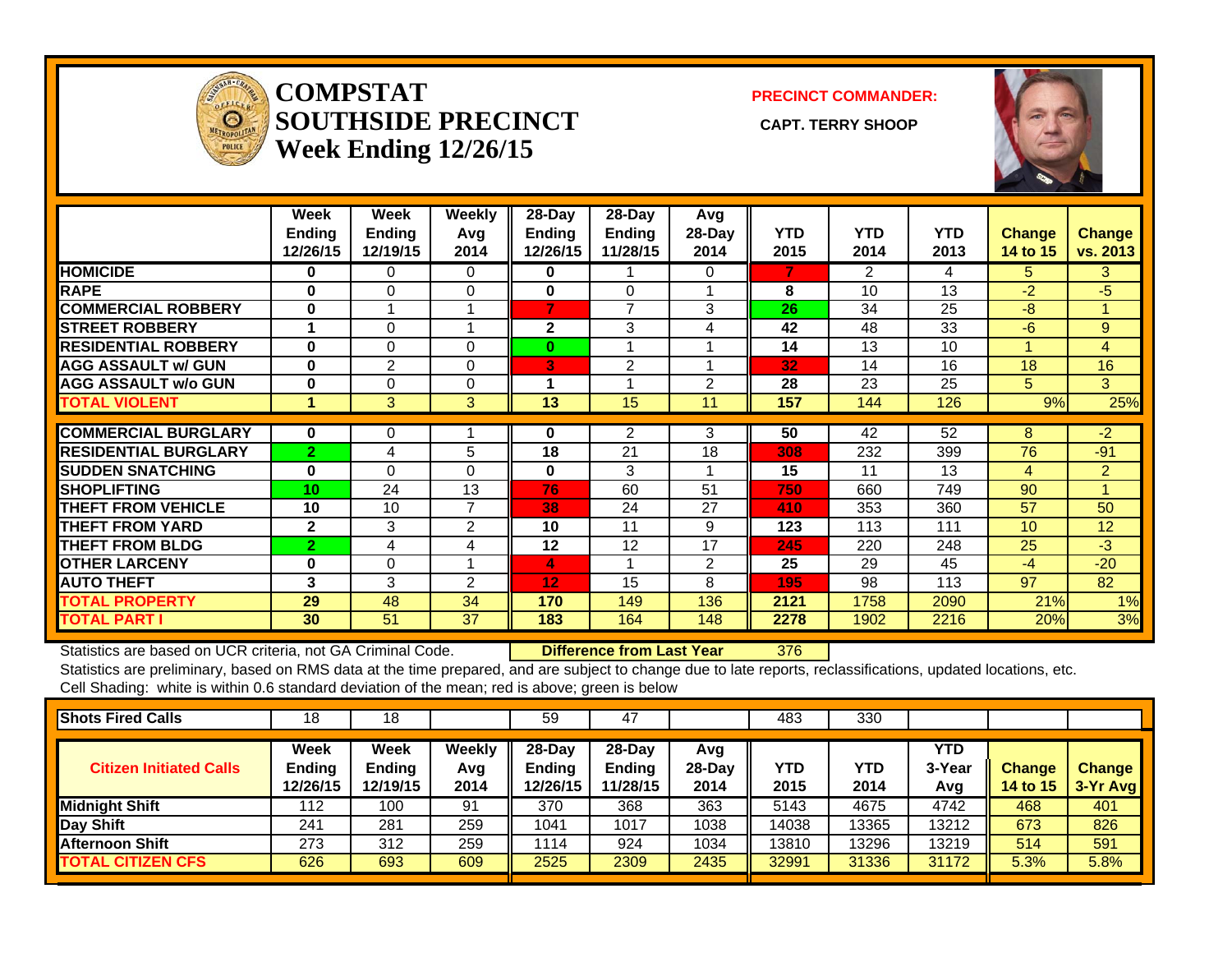

**COMPSTATSOUTHSIDE PRECINCT** CAPT. TERRY SHOOP **Week Ending 12/26/15**

**PRECINCT COMMANDER:**



|                             | Week<br><b>Ending</b><br>12/26/15 | Week<br><b>Ending</b><br>12/19/15 | Weekly<br>Avg<br>2014 | $28$ -Day<br><b>Ending</b><br>12/26/15 | $28$ -Day<br>Ending<br>11/28/15 | Avg<br>$28-Day$<br>2014 | <b>YTD</b><br>2015 | <b>YTD</b><br>2014 | <b>YTD</b><br>2013 | <b>Change</b><br>14 to 15 | <b>Change</b><br>vs. 2013 |
|-----------------------------|-----------------------------------|-----------------------------------|-----------------------|----------------------------------------|---------------------------------|-------------------------|--------------------|--------------------|--------------------|---------------------------|---------------------------|
| <b>HOMICIDE</b>             | 0                                 | 0                                 | 0                     | 0                                      |                                 | 0                       | 7                  | 2                  | 4                  | 5.                        | 3.                        |
| <b>RAPE</b>                 | $\bf{0}$                          | $\Omega$                          | $\Omega$              | $\bf{0}$                               | $\Omega$                        |                         | 8                  | 10                 | 13                 | $-2$                      | $-5$                      |
| <b>COMMERCIAL ROBBERY</b>   | $\bf{0}$                          | 4                                 | и                     | 7                                      | 7                               | 3                       | 26                 | 34                 | 25                 | -8                        | 4                         |
| <b>STREET ROBBERY</b>       |                                   | $\Omega$                          |                       | 2                                      | 3                               | 4                       | 42                 | 48                 | 33                 | $-6$                      | 9                         |
| <b>RESIDENTIAL ROBBERY</b>  | 0                                 | $\Omega$                          | $\Omega$              | 0                                      |                                 |                         | 14                 | 13                 | 10                 |                           | $\overline{4}$            |
| <b>AGG ASSAULT w/ GUN</b>   | $\bf{0}$                          | 2                                 | $\Omega$              | 3                                      | $\overline{2}$                  |                         | 32                 | 14                 | 16                 | 18                        | 16                        |
| <b>AGG ASSAULT w/o GUN</b>  | 0                                 | 0                                 | $\Omega$              | 1                                      |                                 | 2                       | 28                 | 23                 | 25                 | 5.                        | 3                         |
| <b>TOTAL VIOLENT</b>        | 1                                 | 3                                 | 3                     | 13                                     | 15                              | 11                      | 157                | 144                | 126                | 9%                        | 25%                       |
|                             |                                   |                                   |                       |                                        |                                 |                         |                    |                    |                    |                           |                           |
| <b>COMMERCIAL BURGLARY</b>  | $\bf{0}$                          | 0                                 |                       | 0                                      | 2                               | 3                       | 50                 | 42                 | 52                 | 8                         | $-2$                      |
| <b>RESIDENTIAL BURGLARY</b> | $\overline{2}$                    | 4                                 | 5                     | 18                                     | 21                              | 18                      | 308                | 232                | 399                | 76                        | $-91$                     |
| <b>SUDDEN SNATCHING</b>     | 0                                 | $\Omega$                          | $\Omega$              | 0                                      | 3                               |                         | 15                 | 11                 | 13                 | 4                         | $\overline{2}$            |
| <b>SHOPLIFTING</b>          | 10                                | 24                                | 13                    | 76                                     | 60                              | 51                      | 750                | 660                | 749                | 90                        |                           |
| <b>THEFT FROM VEHICLE</b>   | 10                                | 10                                | $\overline{7}$        | 38                                     | 24                              | 27                      | 410                | 353                | 360                | 57                        | 50                        |
| <b>THEFT FROM YARD</b>      | $\mathbf{2}$                      | 3                                 | $\overline{2}$        | 10                                     | 11                              | 9                       | 123                | 113                | 111                | 10                        | 12                        |
| <b>THEFT FROM BLDG</b>      | $\overline{2}$                    | 4                                 | 4                     | 12                                     | 12                              | 17                      | 245                | 220                | 248                | 25                        | $-3$                      |
| <b>OTHER LARCENY</b>        | 0                                 | $\Omega$                          |                       | 4                                      |                                 | 2                       | 25                 | 29                 | 45                 | $-4$                      | $-20$                     |
| <b>AUTO THEFT</b>           | 3                                 | 3                                 | 2                     | 12                                     | 15                              | 8                       | 195                | 98                 | 113                | 97                        | 82                        |
| <b>TOTAL PROPERTY</b>       | 29                                | 48                                | 34                    | 170                                    | 149                             | 136                     | 2121               | 1758               | 2090               | 21%                       | 1%                        |
| <b>TOTAL PART I</b>         | 30                                | 51                                | 37                    | 183                                    | 164                             | 148                     | 2278               | 1902               | 2216               | 20%                       | 3%                        |

Statistics are based on UCR criteria, not GA Criminal Code. **Difference from Last Year** 376

| <b>Shots Fired Calls</b>       | 18                         | 18                         |                       | 59                                  | 47                                     |                         | 483         | 330         |                      |                                  |                           |
|--------------------------------|----------------------------|----------------------------|-----------------------|-------------------------------------|----------------------------------------|-------------------------|-------------|-------------|----------------------|----------------------------------|---------------------------|
| <b>Citizen Initiated Calls</b> | Week<br>Ending<br>12/26/15 | Week<br>Ending<br>12/19/15 | Weekly<br>Avg<br>2014 | 28-Day<br><b>Ending</b><br>12/26/15 | $28$ -Dav<br><b>Ending</b><br>11/28/15 | Avg<br>$28-Day$<br>2014 | YTD<br>2015 | YTD<br>2014 | YTD<br>3-Year<br>Avg | <b>Change</b><br><b>14 to 15</b> | <b>Change</b><br>3-Yr Avg |
| Midnight Shift                 | 112                        | 100                        | 91                    | 370                                 | 368                                    | 363                     | 5143        | 4675        | 4742                 | 468                              | 401                       |
| Day Shift                      | 241                        | 281                        | 259                   | 1041                                | 1017                                   | 1038                    | 14038       | 3365        | 13212                | 673                              | 826                       |
| <b>Afternoon Shift</b>         | 273                        | 312                        | 259                   | 1114                                | 924                                    | 1034                    | 13810       | 3296        | 13219                | 514                              | 591                       |
| <b>TOTAL CITIZEN CFS</b>       | 626                        | 693                        | 609                   | 2525                                | 2309                                   | 2435                    | 32991       | 31336       | 31172                | 5.3%                             | 5.8%                      |